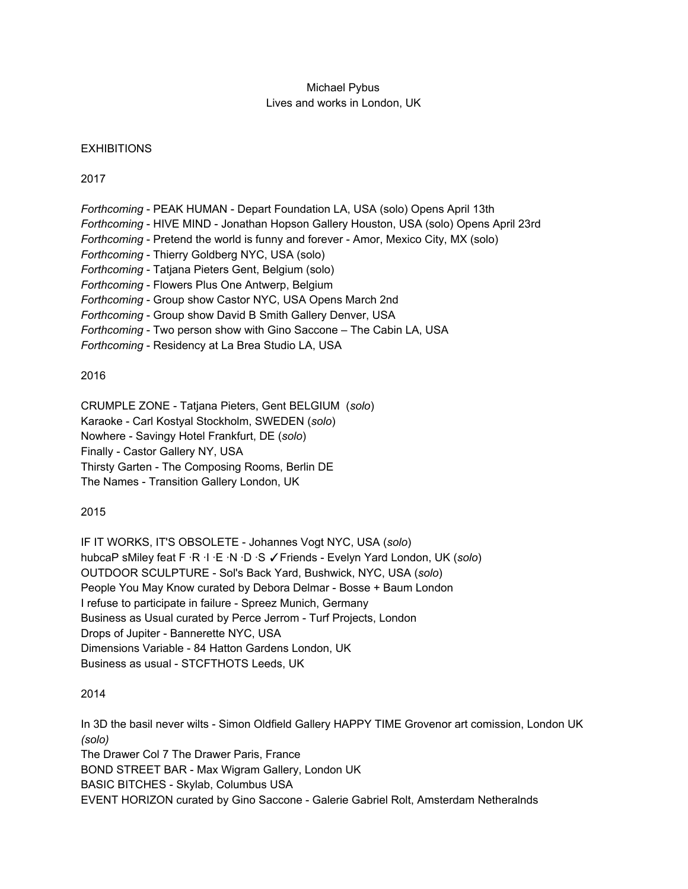## Michael Pybus Lives and works in London, UK

## **EXHIBITIONS**

2017

- *Forthcoming* PEAK HUMAN Depart Foundation LA, USA (solo) Opens April 13th
- *Forthcoming* HIVE MIND Jonathan Hopson Gallery Houston, USA (solo) Opens April 23rd
- *Forthcoming* Pretend the world is funny and forever Amor, Mexico City, MX (solo)
- *Forthcoming* Thierry Goldberg NYC, USA (solo)
- *Forthcoming* Tatjana Pieters Gent, Belgium (solo)
- *Forthcoming* Flowers Plus One Antwerp, Belgium
- *Forthcoming* Group show Castor NYC, USA Opens March 2nd
- *Forthcoming* Group show David B Smith Gallery Denver, USA
- *Forthcoming* Two person show with Gino Saccone The Cabin LA, USA
- *Forthcoming* Residency at La Brea Studio LA, USA

## 2016

CRUMPLE ZONE - Tatjana Pieters, Gent BELGIUM (*solo*)

Karaoke - Carl Kostyal Stockholm, SWEDEN (*solo*)

Nowhere - Savingy Hotel Frankfurt, DE (*solo*)

Finally - Castor Gallery NY, USA

Thirsty Garten - The Composing Rooms, Berlin DE

The Names - Transition Gallery London, UK

# 2015

IF IT WORKS, IT'S OBSOLETE - Johannes Vogt NYC, USA (*solo*) hubcaP sMiley feat F ·R ·I ·E ·N ·D ·S ✓Friends - Evelyn Yard London, UK (*solo*) OUTDOOR SCULPTURE - Sol's Back Yard, Bushwick, NYC, USA (*solo*) People You May Know curated by Debora Delmar - Bosse + Baum London I refuse to participate in failure - Spreez Munich, Germany Business as Usual curated by Perce Jerrom - Turf Projects, London Drops of Jupiter - Bannerette NYC, USA Dimensions Variable - 84 Hatton Gardens London, UK Business as usual - STCFTHOTS Leeds, UK

# 2014

In 3D the basil never wilts - Simon Oldfield Gallery HAPPY TIME Grovenor art comission, London UK *(solo)* The Drawer Col 7 The Drawer Paris, France BOND STREET BAR - Max Wigram Gallery, London UK BASIC BITCHES - Skylab, Columbus USA EVENT HORIZON curated by Gino Saccone - Galerie Gabriel Rolt, Amsterdam Netheralnds